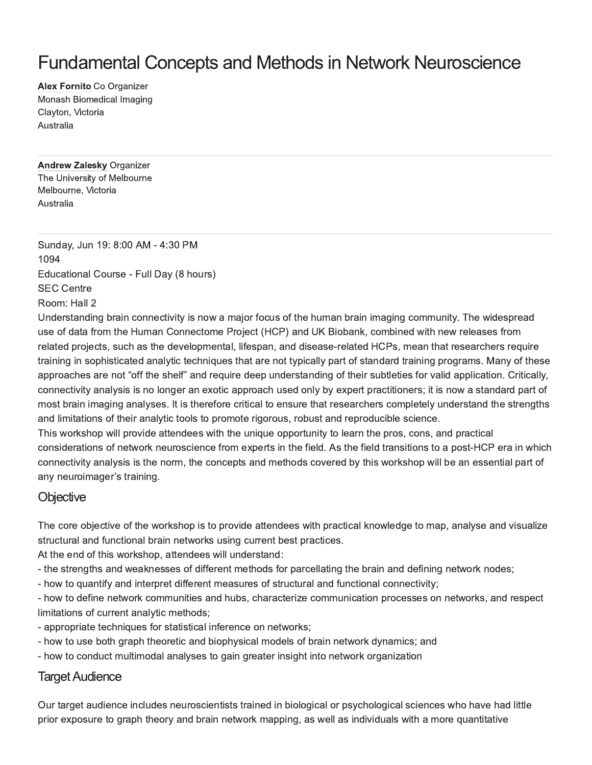# **Fundamental Concepts and Methods in Network Neuroscience**

Alex Fornito Co Organizer Monash Biomedical Imaging Clayton, Victoria Australia

**Andrew Zalesky Organizer** The University of Melbourne Melbourne, Victoria Australia

Sunday, Jun 19: 8:00 AM - 4:30 PM 1094 Educational Course - Full Day (8 hours) **SEC Centre** Room: Hall 2

Understanding brain connectivity is now a major focus of the human brain imaging community. The widespread use of data from the Human Connectome Project (HCP) and UK Biobank, combined with new releases from related projects, such as the developmental, lifespan, and disease-related HCPs, mean that researchers require training in sophisticated analytic techniques that are not typically part of standard training programs. Many of these approaches are not "off the shelf" and require deep understanding of their subtleties for valid application. Critically, connectivity analysis is no longer an exotic approach used only by expert practitioners; it is now a standard part of most brain imaging analyses. It is therefore critical to ensure that researchers completely understand the strengths and limitations of their analytic tools to promote rigorous, robust and reproducible science.

This workshop will provide attendees with the unique opportunity to learn the pros, cons, and practical considerations of network neuroscience from experts in the field. As the field transitions to a post-HCP era in which connectivity analysis is the norm, the concepts and methods covered by this workshop will be an essential part of any neuroimager's training.

#### Objective

The core objective of the workshop is to provide attendees with practical knowledge to map, analyse and visualize structural and functional brain networks using current best practices.

At the end of this workshop, attendees will understand:

- the strengths and weaknesses of different methods for parcellating the brain and defining network nodes;

- how to quantify and interpret different measures of structural and functional connectivity;

- how to define network communities and hubs, characterize communication processes on networks, and respect limitations of current analytic methods;

- appropriate techniques for statistical inference on networks;
- how to use both graph theoretic and biophysical models of brain network dynamics; and
- how to conduct multimodal analyses to gain greater insight into network organization

#### **Target Audience**

Our target audience includes neuroscientists trained in biological or psychological sciences who have had little prior exposure to graph theory and brain network mapping, as well as individuals with a more quantitative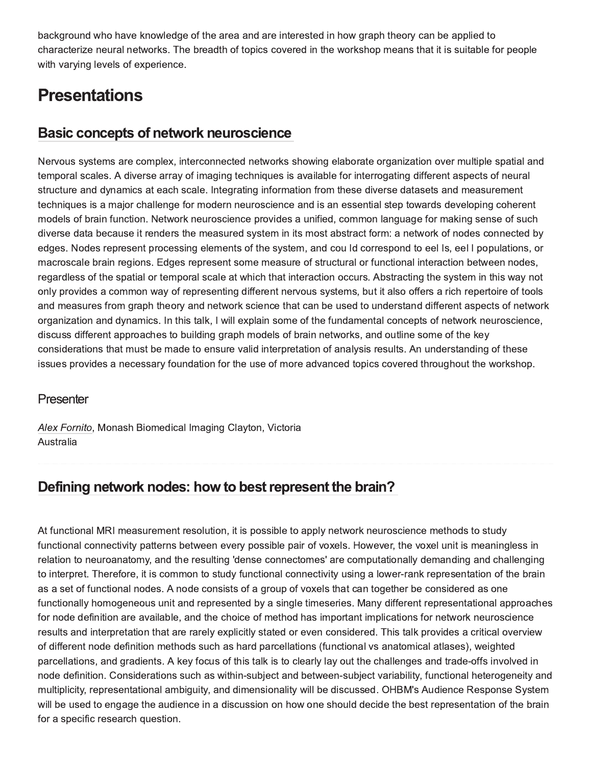background who have knowledge of the area and are interested in how graph theory can be applied to characterize neural networks. The breadth of topics covered in the workshop means that it is suitable for people with varying levels of experience.

# **Presentations**

## **Basic concepts of network neuroscience**

Nervous systems are complex, interconnected networks showing elaborate organization over multiple spatial and temporal scales. A diverse array of imaging techniques is available for interrogating different aspects of neural structure and dynamics at each scale. Integrating information from these diverse datasets and measurement techniques is a major challenge for modern neuroscience and is an essential step towards developing coherent models of brain function. Network neuroscience provides a unified, common language for making sense of such diverse data because it renders the measured system in its most abstract form: a network of nodes connected by edges. Nodes represent processing elements of the system, and cou Id correspond to eel Is, eel I populations, or macroscale brain regions. Edges represent some measure of structural or functional interaction between nodes, regardless of the spatial or temporal scale at which that interaction occurs. Abstracting the system in this way not only provides a common way of representing different nervous systems, but it also offers a rich repertoire of tools and measures from graph theory and network science that can be used to understand different aspects of network organization and dynamics. In this talk, I will explain some of the fundamental concepts of network neuroscience, discuss different approaches to building graph models of brain networks, and outline some of the key considerations that must be made to ensure valid interpretation of analysis results. An understanding of these issues provides a necessary foundation for the use of more advanced topics covered throughout the workshop.

#### Presenter

Alex Fornito, Monash Biomedical Imaging Clayton, Victoria Australia

## Defining network nodes: how to best represent the brain?

At functional MRI measurement resolution, it is possible to apply network neuroscience methods to study functional connectivity patterns between every possible pair of voxels. However, the voxel unit is meaningless in relation to neuroanatomy, and the resulting 'dense connectomes' are computationally demanding and challenging to interpret. Therefore, it is common to study functional connectivity using a lower-rank representation of the brain as a set of functional nodes. A node consists of a group of voxels that can together be considered as one functionally homogeneous unit and represented by a single timeseries. Many different representational approaches for node definition are available, and the choice of method has important implications for network neuroscience results and interpretation that are rarely explicitly stated or even considered. This talk provides a critical overview of different node definition methods such as hard parcellations (functional vs anatomical atlases), weighted parcellations, and gradients. A key focus of this talk is to clearly lay out the challenges and trade-offs involved in node definition. Considerations such as within-subject and between-subject variability, functional heterogeneity and multiplicity, representational ambiguity, and dimensionality will be discussed. OHBM's Audience Response System will be used to engage the audience in a discussion on how one should decide the best representation of the brain for a specific research question.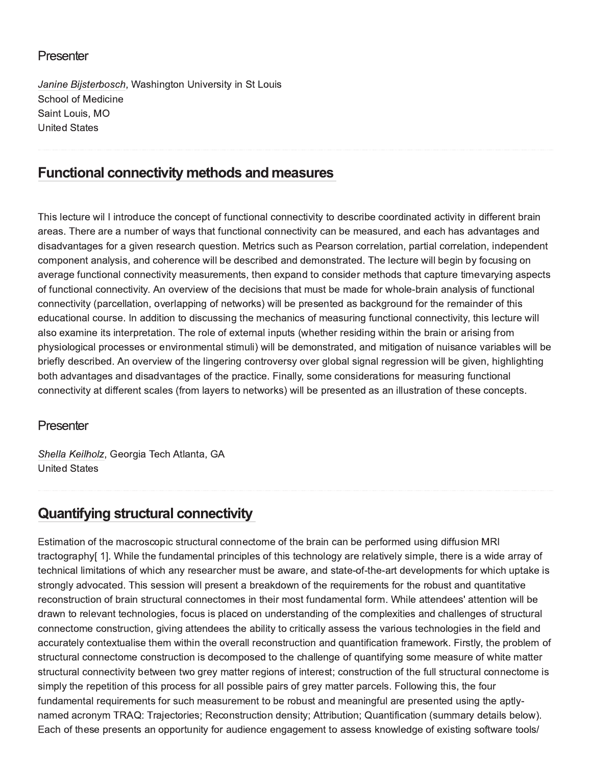#### Presenter

Janine Bijsterbosch, Washington University in St Louis **School of Medicine** Saint Louis, MO **United States** 

### **Functional connectivity methods and measures**

This lecture wil I introduce the concept of functional connectivity to describe coordinated activity in different brain areas. There are a number of ways that functional connectivity can be measured, and each has advantages and disadvantages for a given research question. Metrics such as Pearson correlation, partial correlation, independent component analysis, and coherence will be described and demonstrated. The lecture will begin by focusing on average functional connectivity measurements, then expand to consider methods that capture timevarying aspects of functional connectivity. An overview of the decisions that must be made for whole-brain analysis of functional connectivity (parcellation, overlapping of networks) will be presented as background for the remainder of this educational course. In addition to discussing the mechanics of measuring functional connectivity, this lecture will also examine its interpretation. The role of external inputs (whether residing within the brain or arising from physiological processes or environmental stimuli) will be demonstrated, and mitigation of nuisance variables will be briefly described. An overview of the lingering controversy over global signal regression will be given, highlighting both advantages and disadvantages of the practice. Finally, some considerations for measuring functional connectivity at different scales (from layers to networks) will be presented as an illustration of these concepts.

#### Presenter

Shella Keilholz, Georgia Tech Atlanta, GA **United States** 

# **Quantifying structural connectivity**

Estimation of the macroscopic structural connectome of the brain can be performed using diffusion MRI tractography[1]. While the fundamental principles of this technology are relatively simple, there is a wide array of technical limitations of which any researcher must be aware, and state-of-the-art developments for which uptake is strongly advocated. This session will present a breakdown of the requirements for the robust and quantitative reconstruction of brain structural connectomes in their most fundamental form. While attendees' attention will be drawn to relevant technologies, focus is placed on understanding of the complexities and challenges of structural connectome construction, giving attendees the ability to critically assess the various technologies in the field and accurately contextualise them within the overall reconstruction and quantification framework. Firstly, the problem of structural connectome construction is decomposed to the challenge of quantifying some measure of white matter structural connectivity between two grey matter regions of interest; construction of the full structural connectome is simply the repetition of this process for all possible pairs of grey matter parcels. Following this, the four fundamental requirements for such measurement to be robust and meaningful are presented using the aptlynamed acronym TRAQ: Trajectories; Reconstruction density; Attribution; Quantification (summary details below). Each of these presents an opportunity for audience engagement to assess knowledge of existing software tools/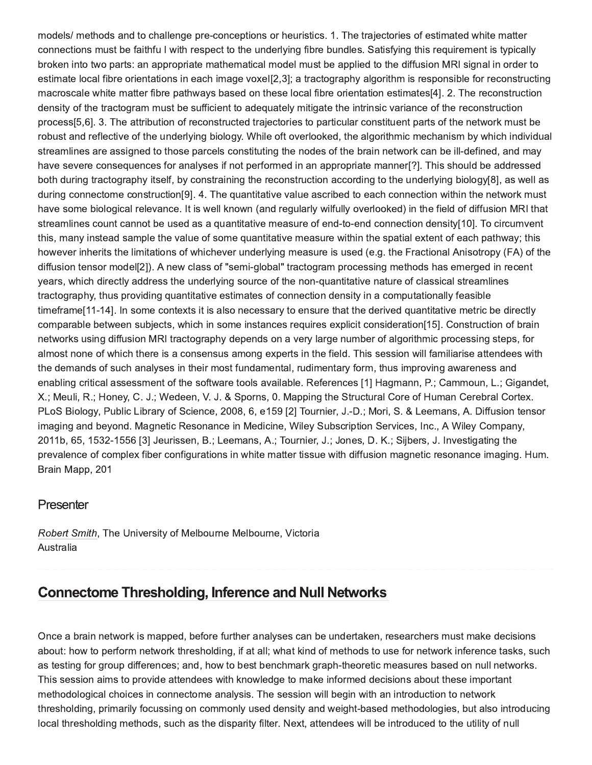models/ methods and to challenge pre-conceptions or heuristics. 1. The trajectories of estimated white matter connections must be faithfu I with respect to the underlying fibre bundles. Satisfying this requirement is typically broken into two parts: an appropriate mathematical model must be applied to the diffusion MRI signal in order to estimate local fibre orientations in each image voxel[2,3]; a tractography algorithm is responsible for reconstructing macroscale white matter fibre pathways based on these local fibre orientation estimates[4]. 2. The reconstruction density of the tractogram must be sufficient to adequately mitigate the intrinsic variance of the reconstruction process[5,6]. 3. The attribution of reconstructed trajectories to particular constituent parts of the network must be robust and reflective of the underlying biology. While oft overlooked, the algorithmic mechanism by which individual streamlines are assigned to those parcels constituting the nodes of the brain network can be ill-defined, and may have severe consequences for analyses if not performed in an appropriate manner[?]. This should be addressed both during tractography itself, by constraining the reconstruction according to the underlying biology[8], as well as during connectome construction[9]. 4. The quantitative value ascribed to each connection within the network must have some biological relevance. It is well known (and regularly wilfully overlooked) in the field of diffusion MRI that streamlines count cannot be used as a quantitative measure of end-to-end connection density[10]. To circumvent this, many instead sample the value of some quantitative measure within the spatial extent of each pathway; this however inherits the limitations of whichever underlying measure is used (e.g. the Fractional Anisotropy (FA) of the diffusion tensor model[2]). A new class of "semi-global" tractogram processing methods has emerged in recent years, which directly address the underlying source of the non-quantitative nature of classical streamlines tractography, thus providing quantitative estimates of connection density in a computationally feasible timeframe[11-14]. In some contexts it is also necessary to ensure that the derived quantitative metric be directly comparable between subjects, which in some instances requires explicit consideration[15]. Construction of brain networks using diffusion MRI tractography depends on a very large number of algorithmic processing steps, for almost none of which there is a consensus among experts in the field. This session will familiarise attendees with the demands of such analyses in their most fundamental, rudimentary form, thus improving awareness and enabling critical assessment of the software tools available. References [1] Hagmann, P.; Cammoun, L.; Gigandet, X.; Meuli, R.; Honey, C. J.; Wedeen, V. J. & Sporns, O. Mapping the Structural Core of Human Cerebral Cortex. PLoS Biology, Public Library of Science, 2008, 6, e159 [2] Tournier, J.-D.; Mori, S. & Leemans, A. Diffusion tensor imaging and beyond. Magnetic Resonance in Medicine, Wiley Subscription Services, Inc., A Wiley Company, 2011b, 65, 1532-1556 [3] Jeurissen, B.; Leemans, A.; Tournier, J.; Jones, D. K.; Sijbers, J. Investigating the prevalence of complex fiber configurations in white matter tissue with diffusion magnetic resonance imaging. Hum. Brain Mapp, 201

#### Presenter

Robert Smith, The University of Melbourne Melbourne, Victoria Australia

## **Connectome Thresholding, Inference and Null Networks**

Once a brain network is mapped, before further analyses can be undertaken, researchers must make decisions about: how to perform network thresholding, if at all; what kind of methods to use for network inference tasks, such as testing for group differences; and, how to best benchmark graph-theoretic measures based on null networks. This session aims to provide attendees with knowledge to make informed decisions about these important methodological choices in connectome analysis. The session will begin with an introduction to network thresholding, primarily focussing on commonly used density and weight-based methodologies, but also introducing local thresholding methods, such as the disparity filter. Next, attendees will be introduced to the utility of null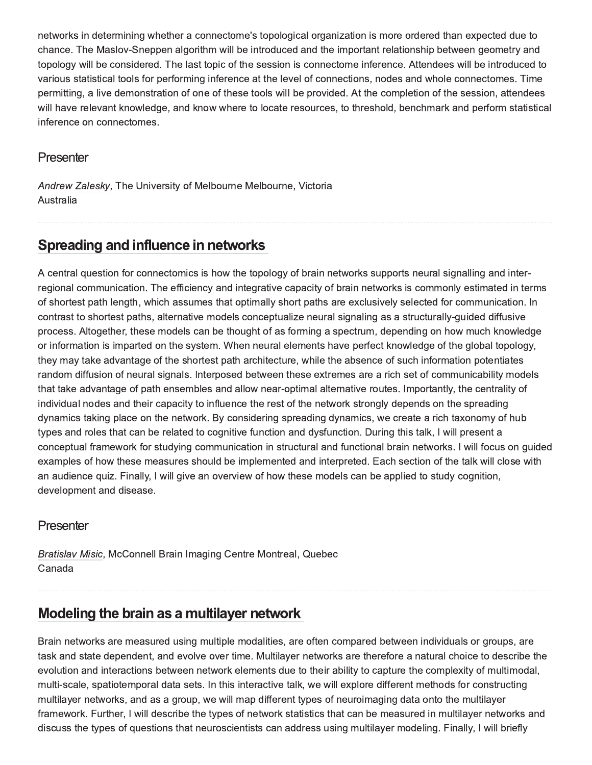networks in determining whether a connectome's topological organization is more ordered than expected due to chance. The Maslov-Sneppen algorithm will be introduced and the important relationship between geometry and topology will be considered. The last topic of the session is connectome inference. Attendees will be introduced to various statistical tools for performing inference at the level of connections, nodes and whole connectomes. Time permitting, a live demonstration of one of these tools will be provided. At the completion of the session, attendees will have relevant knowledge, and know where to locate resources, to threshold, benchmark and perform statistical inference on connectomes.

#### Presenter

Andrew Zalesky, The University of Melbourne Melbourne, Victoria Australia

## Spreading and influence in networks

A central question for connectomics is how the topology of brain networks supports neural signalling and interregional communication. The efficiency and integrative capacity of brain networks is commonly estimated in terms of shortest path length, which assumes that optimally short paths are exclusively selected for communication. In contrast to shortest paths, alternative models conceptualize neural signaling as a structurally-guided diffusive process. Altogether, these models can be thought of as forming a spectrum, depending on how much knowledge or information is imparted on the system. When neural elements have perfect knowledge of the global topology, they may take advantage of the shortest path architecture, while the absence of such information potentiates random diffusion of neural signals. Interposed between these extremes are a rich set of communicability models that take advantage of path ensembles and allow near-optimal alternative routes. Importantly, the centrality of individual nodes and their capacity to influence the rest of the network strongly depends on the spreading dynamics taking place on the network. By considering spreading dynamics, we create a rich taxonomy of hub types and roles that can be related to cognitive function and dysfunction. During this talk, I will present a conceptual framework for studying communication in structural and functional brain networks. I will focus on guided examples of how these measures should be implemented and interpreted. Each section of the talk will close with an audience quiz. Finally, I will give an overview of how these models can be applied to study cognition, development and disease.

#### Presenter

Bratislav Misic, McConnell Brain Imaging Centre Montreal, Quebec Canada

## Modeling the brain as a multilayer network

Brain networks are measured using multiple modalities, are often compared between individuals or groups, are task and state dependent, and evolve over time. Multilayer networks are therefore a natural choice to describe the evolution and interactions between network elements due to their ability to capture the complexity of multimodal, multi-scale, spatiotemporal data sets. In this interactive talk, we will explore different methods for constructing multilayer networks, and as a group, we will map different types of neuroimaging data onto the multilayer framework. Further, I will describe the types of network statistics that can be measured in multilayer networks and discuss the types of questions that neuroscientists can address using multilayer modeling. Finally, I will briefly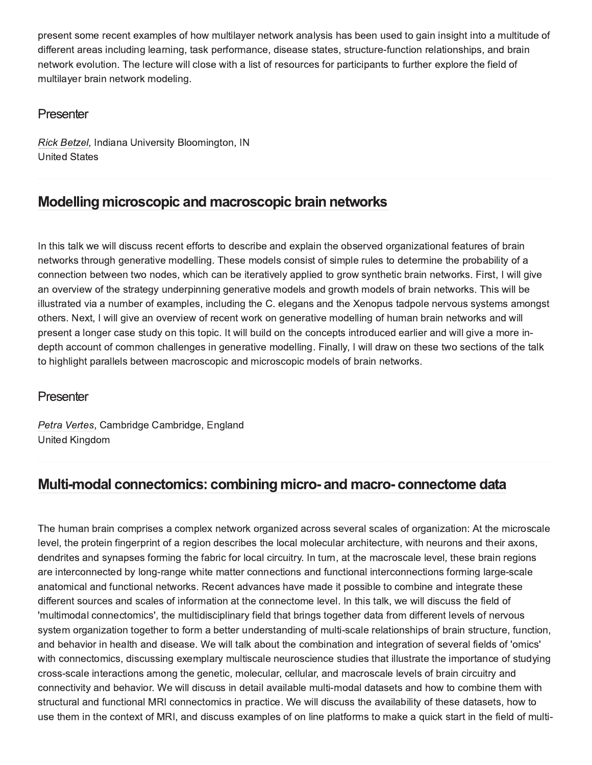present some recent examples of how multilayer network analysis has been used to gain insight into a multitude of different areas including learning, task performance, disease states, structure-function relationships, and brain network evolution. The lecture will close with a list of resources for participants to further explore the field of multilayer brain network modeling.

#### Presenter

Rick Betzel, Indiana University Bloomington, IN **United States** 

# Modelling microscopic and macroscopic brain networks

In this talk we will discuss recent efforts to describe and explain the observed organizational features of brain networks through generative modelling. These models consist of simple rules to determine the probability of a connection between two nodes, which can be iteratively applied to grow synthetic brain networks. First, I will give an overview of the strategy underpinning generative models and growth models of brain networks. This will be illustrated via a number of examples, including the C. elegans and the Xenopus tadpole nervous systems amongst others. Next, I will give an overview of recent work on generative modelling of human brain networks and will present a longer case study on this topic. It will build on the concepts introduced earlier and will give a more indepth account of common challenges in generative modelling. Finally, I will draw on these two sections of the talk to highlight parallels between macroscopic and microscopic models of brain networks.

### Presenter

Petra Vertes, Cambridge Cambridge, England **United Kingdom** 

# Multi-modal connectomics: combining micro- and macro- connectome data

The human brain comprises a complex network organized across several scales of organization: At the microscale level, the protein fingerprint of a region describes the local molecular architecture, with neurons and their axons, dendrites and synapses forming the fabric for local circuitry. In turn, at the macroscale level, these brain regions are interconnected by long-range white matter connections and functional interconnections forming large-scale anatomical and functional networks. Recent advances have made it possible to combine and integrate these different sources and scales of information at the connectome level. In this talk, we will discuss the field of 'multimodal connectomics', the multidisciplinary field that brings together data from different levels of nervous system organization together to form a better understanding of multi-scale relationships of brain structure, function, and behavior in health and disease. We will talk about the combination and integration of several fields of 'omics' with connectomics, discussing exemplary multiscale neuroscience studies that illustrate the importance of studying cross-scale interactions among the genetic, molecular, cellular, and macroscale levels of brain circuitry and connectivity and behavior. We will discuss in detail available multi-modal datasets and how to combine them with structural and functional MRI connectomics in practice. We will discuss the availability of these datasets, how to use them in the context of MRI, and discuss examples of on line platforms to make a quick start in the field of multi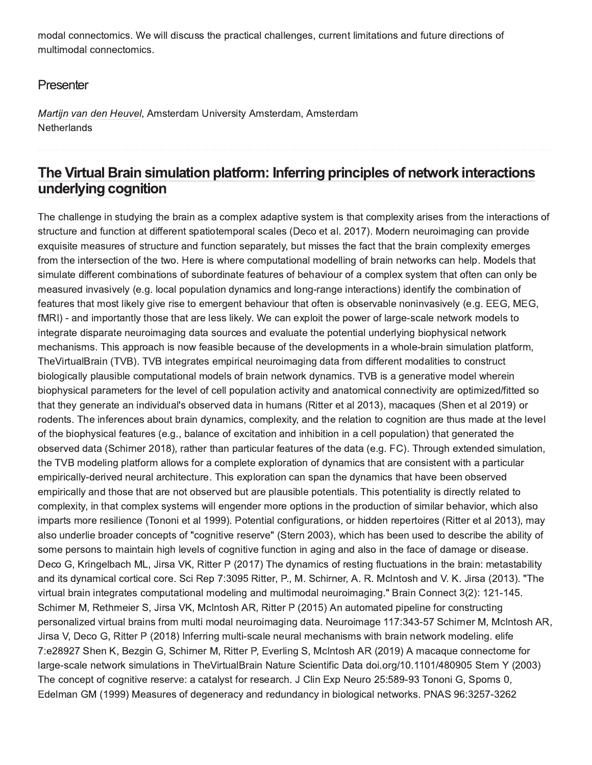modal connectomics. We will discuss the practical challenges, current limitations and future directions of multimodal connectomics.

#### Presenter

Martijn van den Heuvel, Amsterdam University Amsterdam, Amsterdam Netherlands

# The Virtual Brain simulation platform: Inferring principles of network interactions underlying cognition

The challenge in studying the brain as a complex adaptive system is that complexity arises from the interactions of structure and function at different spatiotemporal scales (Deco et al. 2017). Modern neuroimaging can provide exquisite measures of structure and function separately, but misses the fact that the brain complexity emerges from the intersection of the two. Here is where computational modelling of brain networks can help. Models that simulate different combinations of subordinate features of behaviour of a complex system that often can only be measured invasively (e.g. local population dynamics and long-range interactions) identify the combination of features that most likely give rise to emergent behaviour that often is observable noninvasively (e.g. EEG, MEG, fMRI) - and importantly those that are less likely. We can exploit the power of large-scale network models to integrate disparate neuroimaging data sources and evaluate the potential underlying biophysical network mechanisms. This approach is now feasible because of the developments in a whole-brain simulation platform, TheVirtualBrain (TVB). TVB integrates empirical neuroimaging data from different modalities to construct biologically plausible computational models of brain network dynamics. TVB is a generative model wherein biophysical parameters for the level of cell population activity and anatomical connectivity are optimized/fitted so that they generate an individual's observed data in humans (Ritter et al 2013), macaques (Shen et al 2019) or rodents. The inferences about brain dynamics, complexity, and the relation to cognition are thus made at the level of the biophysical features (e.g., balance of excitation and inhibition in a cell population) that generated the observed data (Schirner 2018), rather than particular features of the data (e.g. FC). Through extended simulation, the TVB modeling platform allows for a complete exploration of dynamics that are consistent with a particular empirically-derived neural architecture. This exploration can span the dynamics that have been observed empirically and those that are not observed but are plausible potentials. This potentiality is directly related to complexity, in that complex systems will engender more options in the production of similar behavior, which also imparts more resilience (Tononi et al 1999). Potential configurations, or hidden repertoires (Ritter et al 2013), may also underlie broader concepts of "cognitive reserve" (Stern 2003), which has been used to describe the ability of some persons to maintain high levels of cognitive function in aging and also in the face of damage or disease. Deco G, Kringelbach ML, Jirsa VK, Ritter P (2017) The dynamics of resting fluctuations in the brain: metastability and its dynamical cortical core. Sci Rep 7:3095 Ritter, P., M. Schirner, A. R. McIntosh and V. K. Jirsa (2013). "The virtual brain integrates computational modeling and multimodal neuroimaging." Brain Connect 3(2): 121-145. Schirner M, Rethmeier S, Jirsa VK, McIntosh AR, Ritter P (2015) An automated pipeline for constructing personalized virtual brains from multi modal neuroimaging data. Neuroimage 117:343-57 Schirner M, McIntosh AR, Jirsa V, Deco G, Ritter P (2018) Inferring multi-scale neural mechanisms with brain network modeling. elife 7:e28927 Shen K, Bezgin G, Schirner M, Ritter P, Everling S, McIntosh AR (2019) A macaque connectome for large-scale network simulations in TheVirtualBrain Nature Scientific Data doi.org/10.1101/480905 Stern Y (2003) The concept of cognitive reserve: a catalyst for research. J Clin Exp Neuro 25:589-93 Tononi G, Sporns 0, Edelman GM (1999) Measures of degeneracy and redundancy in biological networks. PNAS 96:3257-3262